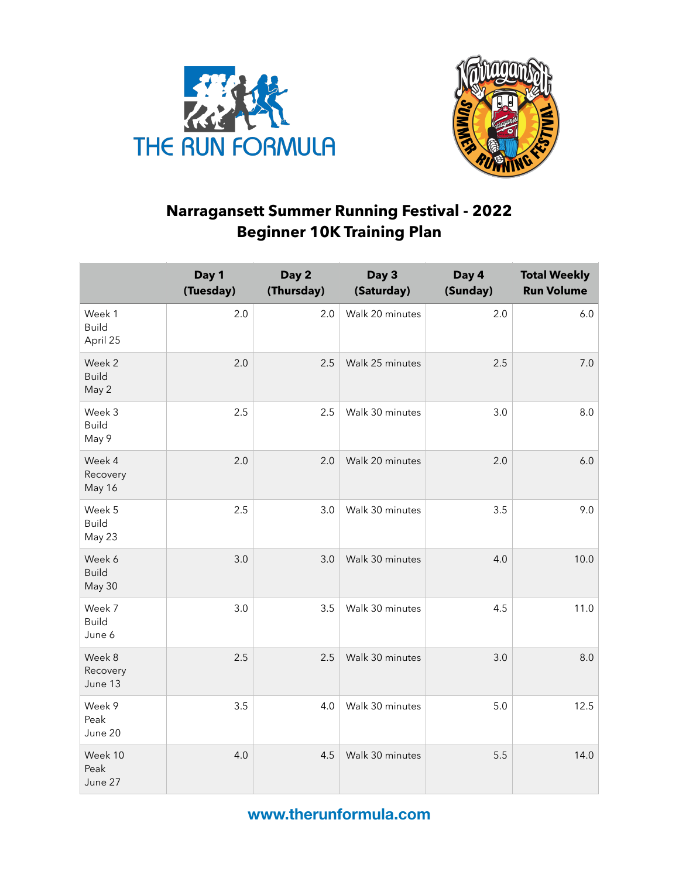



## **Narragansett Summer Running Festival - 2022 Beginner 10K Training Plan**

|                                    | Day 1<br>(Tuesday) | Day 2<br>(Thursday) | Day 3<br>(Saturday) | Day 4<br>(Sunday) | <b>Total Weekly</b><br><b>Run Volume</b> |
|------------------------------------|--------------------|---------------------|---------------------|-------------------|------------------------------------------|
| Week 1<br><b>Build</b><br>April 25 | 2.0                | 2.0                 | Walk 20 minutes     | 2.0               | 6.0                                      |
| Week 2<br><b>Build</b><br>May 2    | 2.0                | 2.5                 | Walk 25 minutes     | 2.5               | 7.0                                      |
| Week 3<br><b>Build</b><br>May 9    | 2.5                | 2.5                 | Walk 30 minutes     | 3.0               | 8.0                                      |
| Week 4<br>Recovery<br>May 16       | 2.0                | 2.0                 | Walk 20 minutes     | 2.0               | 6.0                                      |
| Week 5<br><b>Build</b><br>May 23   | 2.5                | 3.0                 | Walk 30 minutes     | 3.5               | 9.0                                      |
| Week 6<br><b>Build</b><br>May 30   | 3.0                | 3.0                 | Walk 30 minutes     | 4.0               | 10.0                                     |
| Week 7<br><b>Build</b><br>June 6   | 3.0                | 3.5                 | Walk 30 minutes     | 4.5               | 11.0                                     |
| Week 8<br>Recovery<br>June 13      | 2.5                | 2.5                 | Walk 30 minutes     | 3.0               | 8.0                                      |
| Week 9<br>Peak<br>June 20          | 3.5                | 4.0                 | Walk 30 minutes     | 5.0               | 12.5                                     |
| Week 10<br>Peak<br>June 27         | 4.0                | 4.5                 | Walk 30 minutes     | 5.5               | 14.0                                     |

**www.therunformula.com**